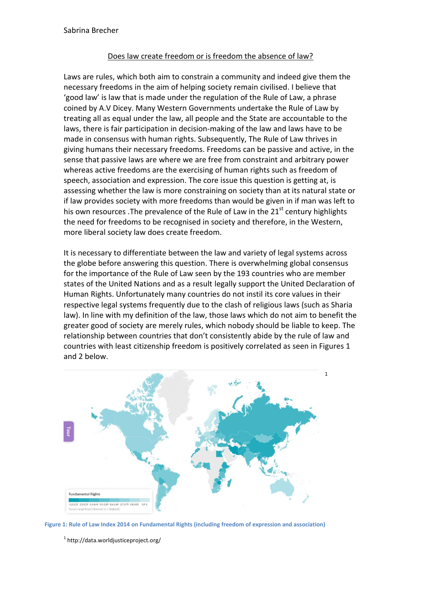## Does law create freedom or is freedom the absence of law?

Laws are rules, which both aim to constrain a community and indeed give them the necessary freedoms in the aim of helping society remain civilised. I believe that 'good law' is law that is made under the regulation of the Rule of Law, a phrase coined by A.V Dicey. Many Western Governments undertake the Rule of Law by treating all as equal under the law, all people and the State are accountable to the laws, there is fair participation in decision-making of the law and laws have to be made in consensus with human rights. Subsequently, The Rule of Law thrives in giving humans their necessary freedoms. Freedoms can be passive and active, in the sense that passive laws are where we are free from constraint and arbitrary power whereas active freedoms are the exercising of human rights such as freedom of speech, association and expression. The core issue this question is getting at, is assessing whether the law is more constraining on society than at its natural state or if law provides society with more freedoms than would be given in if man was left to his own resources .The prevalence of the Rule of Law in the  $21<sup>st</sup>$  century highlights the need for freedoms to be recognised in society and therefore, in the Western, more liberal society law does create freedom.

It is necessary to differentiate between the law and variety of legal systems across the globe before answering this question. There is overwhelming global consensus for the importance of the Rule of Law seen by the 193 countries who are member states of the United Nations and as a result legally support the United Declaration of Human Rights. Unfortunately many countries do not instil its core values in their respective legal systems frequently due to the clash of religious laws (such as Sharia law). In line with my definition of the law, those laws which do not aim to benefit the greater good of society are merely rules, which nobody should be liable to keep. The relationship between countries that don't consistently abide by the rule of law and countries with least citizenship freedom is positively correlated as seen in Figures 1 and 2 below.





<sup>1</sup> http://data.worldjusticeproject.org/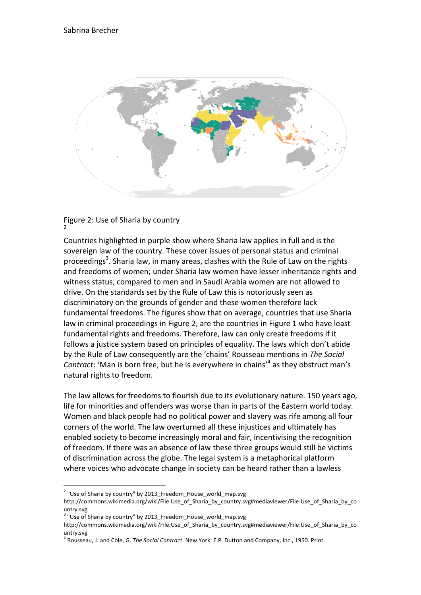

## Figure 2: Use of Sharia by country 2

Countries highlighted in purple show where Sharia law applies in full and is the sovereign law of the country. These cover issues of personal status and criminal proceedings<sup>3</sup>. Sharia law, in many areas, clashes with the Rule of Law on the rights and freedoms of women; under Sharia law women have lesser inheritance rights and witness status, compared to men and in Saudi Arabia women are not allowed to drive. On the standards set by the Rule of Law this is notoriously seen as discriminatory on the grounds of gender and these women therefore lack fundamental freedoms. The figures show that on average, countries that use Sharia law in criminal proceedings in Figure 2, are the countries in Figure 1 who have least fundamental rights and freedoms. Therefore, law can only create freedoms if it follows a justice system based on principles of equality. The laws which don't abide by the Rule of Law consequently are the 'chains' Rousseau mentions in *The Social*  Contract: 'Man is born free, but he is everywhere in chains'<sup>4</sup> as they obstruct man's natural rights to freedom.

The law allows for freedoms to flourish due to its evolutionary nature. 150 years ago, life for minorities and offenders was worse than in parts of the Eastern world today. Women and black people had no political power and slavery was rife among all four corners of the world. The law overturned all these injustices and ultimately has enabled society to become increasingly moral and fair, incentivising the recognition of freedom. If there was an absence of law these three groups would still be victims of discrimination across the globe. The legal system is a metaphorical platform where voices who advocate change in society can be heard rather than a lawless

 $\overline{a}$ 

<sup>&</sup>lt;sup>2</sup> "Use of Sharia by country" by 2013\_Freedom\_House\_world\_map.svg

http://commons.wikimedia.org/wiki/File:Use\_of\_Sharia\_by\_country.svg#mediaviewer/File:Use\_of\_Sharia\_by\_co untry.svg

 $^3$  "Use of Sharia by country" by 2013\_Freedom\_House\_world\_map.svg

http://commons.wikimedia.org/wiki/File:Use\_of\_Sharia\_by\_country.svg#mediaviewer/File:Use\_of\_Sharia\_by\_co untry.svg

<sup>4</sup> Rousseau, J. and Cole, G. *The Social Contract*. New York: E.P. Dutton and Company, Inc., 1950. Print.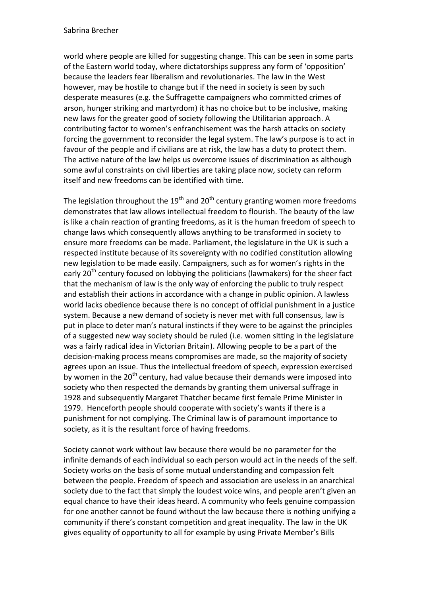## Sabrina Brecher

world where people are killed for suggesting change. This can be seen in some parts of the Eastern world today, where dictatorships suppress any form of 'opposition' because the leaders fear liberalism and revolutionaries. The law in the West however, may be hostile to change but if the need in society is seen by such desperate measures (e.g. the Suffragette campaigners who committed crimes of arson, hunger striking and martyrdom) it has no choice but to be inclusive, making new laws for the greater good of society following the Utilitarian approach. A contributing factor to women's enfranchisement was the harsh attacks on society forcing the government to reconsider the legal system. The law's purpose is to act in favour of the people and if civilians are at risk, the law has a duty to protect them. The active nature of the law helps us overcome issues of discrimination as although some awful constraints on civil liberties are taking place now, society can reform itself and new freedoms can be identified with time.

The legislation throughout the  $19<sup>th</sup>$  and  $20<sup>th</sup>$  century granting women more freedoms demonstrates that law allows intellectual freedom to flourish. The beauty of the law is like a chain reaction of granting freedoms, as it is the human freedom of speech to change laws which consequently allows anything to be transformed in society to ensure more freedoms can be made. Parliament, the legislature in the UK is such a respected institute because of its sovereignty with no codified constitution allowing new legislation to be made easily. Campaigners, such as for women's rights in the early 20<sup>th</sup> century focused on lobbying the politicians (lawmakers) for the sheer fact that the mechanism of law is the only way of enforcing the public to truly respect and establish their actions in accordance with a change in public opinion. A lawless world lacks obedience because there is no concept of official punishment in a justice system. Because a new demand of society is never met with full consensus, law is put in place to deter man's natural instincts if they were to be against the principles of a suggested new way society should be ruled (i.e. women sitting in the legislature was a fairly radical idea in Victorian Britain). Allowing people to be a part of the decision-making process means compromises are made, so the majority of society agrees upon an issue. Thus the intellectual freedom of speech, expression exercised by women in the  $20<sup>th</sup>$  century, had value because their demands were imposed into society who then respected the demands by granting them universal suffrage in 1928 and subsequently Margaret Thatcher became first female Prime Minister in 1979. Henceforth people should cooperate with society's wants if there is a punishment for not complying. The Criminal law is of paramount importance to society, as it is the resultant force of having freedoms.

Society cannot work without law because there would be no parameter for the infinite demands of each individual so each person would act in the needs of the self. Society works on the basis of some mutual understanding and compassion felt between the people. Freedom of speech and association are useless in an anarchical society due to the fact that simply the loudest voice wins, and people aren't given an equal chance to have their ideas heard. A community who feels genuine compassion for one another cannot be found without the law because there is nothing unifying a community if there's constant competition and great inequality. The law in the UK gives equality of opportunity to all for example by using Private Member's Bills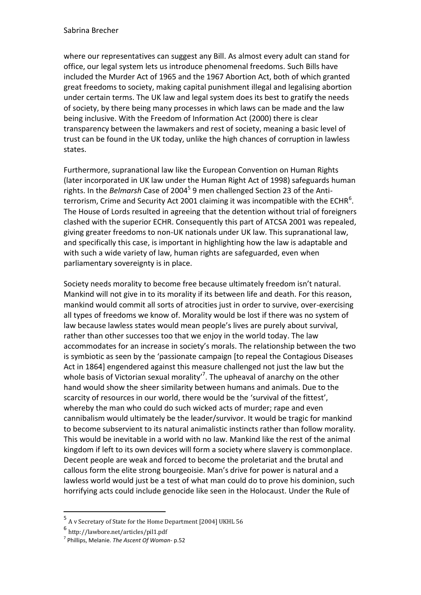where our representatives can suggest any Bill. As almost every adult can stand for office, our legal system lets us introduce phenomenal freedoms. Such Bills have included the Murder Act of 1965 and the 1967 Abortion Act, both of which granted great freedoms to society, making capital punishment illegal and legalising abortion under certain terms. The UK law and legal system does its best to gratify the needs of society, by there being many processes in which laws can be made and the law being inclusive. With the Freedom of Information Act (2000) there is clear transparency between the lawmakers and rest of society, meaning a basic level of trust can be found in the UK today, unlike the high chances of corruption in lawless states.

Furthermore, supranational law like the European Convention on Human Rights (later incorporated in UK law under the Human Right Act of 1998) safeguards human rights. In the *Belmarsh* Case of 2004<sup>5</sup> 9 men challenged Section 23 of the Antiterrorism, Crime and Security Act 2001 claiming it was incompatible with the ECHR<sup>6</sup>. The House of Lords resulted in agreeing that the detention without trial of foreigners clashed with the superior ECHR. Consequently this part of ATCSA 2001 was repealed, giving greater freedoms to non-UK nationals under UK law. This supranational law, and specifically this case, is important in highlighting how the law is adaptable and with such a wide variety of law, human rights are safeguarded, even when parliamentary sovereignty is in place.

Society needs morality to become free because ultimately freedom isn't natural. Mankind will not give in to its morality if its between life and death. For this reason, mankind would commit all sorts of atrocities just in order to survive, over-exercising all types of freedoms we know of. Morality would be lost if there was no system of law because lawless states would mean people's lives are purely about survival, rather than other successes too that we enjoy in the world today. The law accommodates for an increase in society's morals. The relationship between the two is symbiotic as seen by the 'passionate campaign [to repeal the Contagious Diseases Act in 1864] engendered against this measure challenged not just the law but the whole basis of Victorian sexual morality<sup> $7$ </sup>. The upheaval of anarchy on the other hand would show the sheer similarity between humans and animals. Due to the scarcity of resources in our world, there would be the 'survival of the fittest', whereby the man who could do such wicked acts of murder; rape and even cannibalism would ultimately be the leader/survivor. It would be tragic for mankind to become subservient to its natural animalistic instincts rather than follow morality. This would be inevitable in a world with no law. Mankind like the rest of the animal kingdom if left to its own devices will form a society where slavery is commonplace. Decent people are weak and forced to become the proletariat and the brutal and callous form the elite strong bourgeoisie. Man's drive for power is natural and a lawless world would just be a test of what man could do to prove his dominion, such horrifying acts could include genocide like seen in the Holocaust. Under the Rule of

 $\overline{a}$ 

<sup>&</sup>lt;sup>5</sup> A v Secretary of State for the Home Department [2004] UKHL 56

<sup>6</sup> http://lawbore.net/articles/pil1.pdf

<sup>7</sup> Phillips, Melanie. *The Ascent Of Woman*- p.52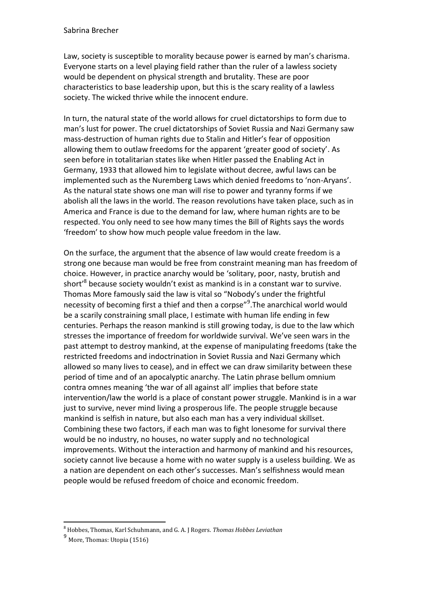Law, society is susceptible to morality because power is earned by man's charisma. Everyone starts on a level playing field rather than the ruler of a lawless society would be dependent on physical strength and brutality. These are poor characteristics to base leadership upon, but this is the scary reality of a lawless society. The wicked thrive while the innocent endure.

In turn, the natural state of the world allows for cruel dictatorships to form due to man's lust for power. The cruel dictatorships of Soviet Russia and Nazi Germany saw mass-destruction of human rights due to Stalin and Hitler's fear of opposition allowing them to outlaw freedoms for the apparent 'greater good of society'. As seen before in totalitarian states like when Hitler passed the Enabling Act in Germany, 1933 that allowed him to legislate without decree, awful laws can be implemented such as the Nuremberg Laws which denied freedoms to 'non-Aryans'. As the natural state shows one man will rise to power and tyranny forms if we abolish all the laws in the world. The reason revolutions have taken place, such as in America and France is due to the demand for law, where human rights are to be respected. You only need to see how many times the Bill of Rights says the words 'freedom' to show how much people value freedom in the law.

On the surface, the argument that the absence of law would create freedom is a strong one because man would be free from constraint meaning man has freedom of choice. However, in practice anarchy would be 'solitary, poor, nasty, brutish and short'<sup>8</sup> because society wouldn't exist as mankind is in a constant war to survive. Thomas More famously said the law is vital so "Nobody's under the frightful necessity of becoming first a thief and then a corpse"<sup>9</sup>. The anarchical world would be a scarily constraining small place, I estimate with human life ending in few centuries. Perhaps the reason mankind is still growing today, is due to the law which stresses the importance of freedom for worldwide survival. We've seen wars in the past attempt to destroy mankind, at the expense of manipulating freedoms (take the restricted freedoms and indoctrination in Soviet Russia and Nazi Germany which allowed so many lives to cease), and in effect we can draw similarity between these period of time and of an apocalyptic anarchy. The Latin phrase bellum omnium contra omnes meaning 'the war of all against all' implies that before state intervention/law the world is a place of constant power struggle. Mankind is in a war just to survive, never mind living a prosperous life. The people struggle because mankind is selfish in nature, but also each man has a very individual skillset. Combining these two factors, if each man was to fight lonesome for survival there would be no industry, no houses, no water supply and no technological improvements. Without the interaction and harmony of mankind and his resources, society cannot live because a home with no water supply is a useless building. We as a nation are dependent on each other's successes. Man's selfishness would mean people would be refused freedom of choice and economic freedom.

 $\overline{a}$ <sup>8</sup> Hobbes, Thomas, Karl Schuhmann, and G. A. J Rogers. *Thomas Hobbes Leviathan*

<sup>&</sup>lt;sup>9</sup> More, Thomas: Utopia (1516)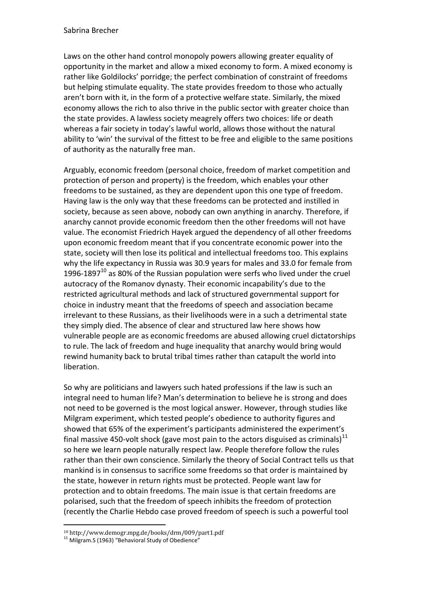Laws on the other hand control monopoly powers allowing greater equality of opportunity in the market and allow a mixed economy to form. A mixed economy is rather like Goldilocks' porridge; the perfect combination of constraint of freedoms but helping stimulate equality. The state provides freedom to those who actually aren't born with it, in the form of a protective welfare state. Similarly, the mixed economy allows the rich to also thrive in the public sector with greater choice than the state provides. A lawless society meagrely offers two choices: life or death whereas a fair society in today's lawful world, allows those without the natural ability to 'win' the survival of the fittest to be free and eligible to the same positions of authority as the naturally free man.

Arguably, economic freedom (personal choice, freedom of market competition and protection of person and property) is the freedom, which enables your other freedoms to be sustained, as they are dependent upon this one type of freedom. Having law is the only way that these freedoms can be protected and instilled in society, because as seen above, nobody can own anything in anarchy. Therefore, if anarchy cannot provide economic freedom then the other freedoms will not have value. The economist Friedrich Hayek argued the dependency of all other freedoms upon economic freedom meant that if you concentrate economic power into the state, society will then lose its political and intellectual freedoms too. This explains why the life expectancy in Russia was 30.9 years for males and 33.0 for female from 1996-1897 $^{10}$  as 80% of the Russian population were serfs who lived under the cruel autocracy of the Romanov dynasty. Their economic incapability's due to the restricted agricultural methods and lack of structured governmental support for choice in industry meant that the freedoms of speech and association became irrelevant to these Russians, as their livelihoods were in a such a detrimental state they simply died. The absence of clear and structured law here shows how vulnerable people are as economic freedoms are abused allowing cruel dictatorships to rule. The lack of freedom and huge inequality that anarchy would bring would rewind humanity back to brutal tribal times rather than catapult the world into liberation.

So why are politicians and lawyers such hated professions if the law is such an integral need to human life? Man's determination to believe he is strong and does not need to be governed is the most logical answer. However, through studies like Milgram experiment, which tested people's obedience to authority figures and showed that 65% of the experiment's participants administered the experiment's final massive 450-volt shock (gave most pain to the actors disguised as criminals)<sup>11</sup> so here we learn people naturally respect law. People therefore follow the rules rather than their own conscience. Similarly the theory of Social Contract tells us that mankind is in consensus to sacrifice some freedoms so that order is maintained by the state, however in return rights must be protected. People want law for protection and to obtain freedoms. The main issue is that certain freedoms are polarised, such that the freedom of speech inhibits the freedom of protection (recently the Charlie Hebdo case proved freedom of speech is such a powerful tool

 $\overline{a}$ <sup>10</sup> http://www.demogr.mpg.de/books/drm/009/part1.pdf

<sup>&</sup>lt;sup>11</sup> Milgram.S (1963) "Behavioral Study of Obedience"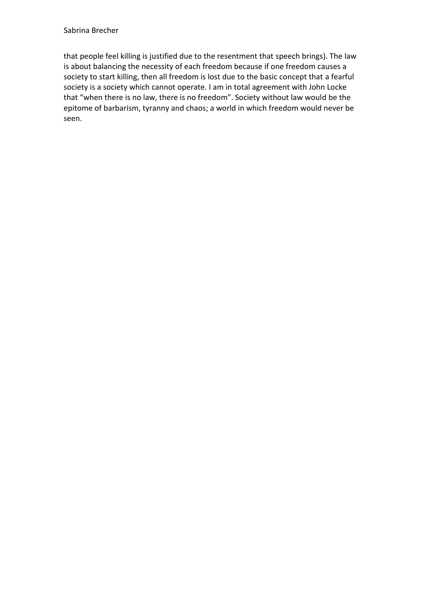that people feel killing is justified due to the resentment that speech brings). The law is about balancing the necessity of each freedom because if one freedom causes a society to start killing, then all freedom is lost due to the basic concept that a fearful society is a society which cannot operate. I am in total agreement with John Locke that "when there is no law, there is no freedom". Society without law would be the epitome of barbarism, tyranny and chaos; a world in which freedom would never be seen.